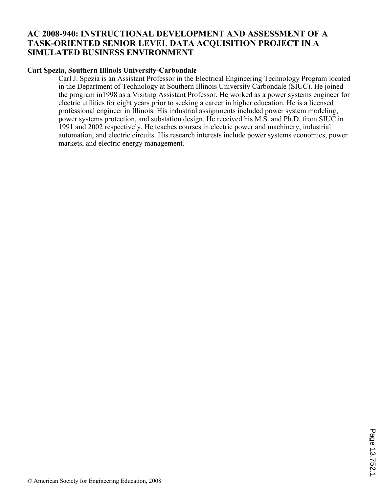## **AC 2008-940: INSTRUCTIONAL DEVELOPMENT AND ASSESSMENT OF A TASK-ORIENTED SENIOR LEVEL DATA ACQUISITION PROJECT IN A SIMULATED BUSINESS ENVIRONMENT**

### **Carl Spezia, Southern Illinois University-Carbondale**

Carl J. Spezia is an Assistant Professor in the Electrical Engineering Technology Program located in the Department of Technology at Southern Illinois University Carbondale (SIUC). He joined the program in1998 as a Visiting Assistant Professor. He worked as a power systems engineer for electric utilities for eight years prior to seeking a career in higher education. He is a licensed professional engineer in Illinois. His industrial assignments included power system modeling, power systems protection, and substation design. He received his M.S. and Ph.D. from SIUC in 1991 and 2002 respectively. He teaches courses in electric power and machinery, industrial automation, and electric circuits. His research interests include power systems economics, power markets, and electric energy management.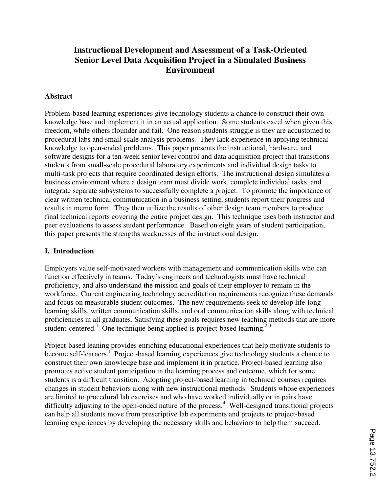# **Instructional Development and Assessment of a Task-Oriented Senior Level Data Acquisition Project in a Simulated Business Environment**

#### **Abstract**

Problem-based learning experiences give technology students a chance to construct their own knowledge base and implement it in an actual application. Some students excel when given this freedom, while others flounder and fail. One reason students struggle is they are accustomed to procedural labs and small-scale analysis problems. They lack experience in applying technical knowledge to open-ended problems. This paper presents the instructional, hardware, and software designs for a ten-week senior level control and data acquisition project that transitions students from small-scale procedural laboratory experiments and individual design tasks to multi-task projects that require coordinated design efforts. The instructional design simulates a business environment where a design team must divide work, complete individual tasks, and integrate separate subsystems to successfully complete a project. To promote the importance of clear written technical communication in a business setting, students report their progress and results in memo form. They then utilize the results of other design team members to produce final technical reports covering the entire project design. This technique uses both instructor and peer evaluations to assess student performance. Based on eight years of student participation, this paper presents the strengths weaknesses of the instructional design.

#### **I. Introduction**

Employers value self-motivated workers with management and communication skills who can function effectively in teams. Today's engineers and technologists must have technical proficiency, and also understand the mission and goals of their employer to remain in the workforce. Current engineering technology accreditation requirements recognize these demands and focus on measurable student outcomes. The new requirements seek to develop life-long learning skills, written communication skills, and oral communication skills along with technical proficiencies in all graduates. Satisfying these goals requires new teaching methods that are more student-centered.<sup>1</sup> One technique being applied is project-based learning.<sup>2,3</sup>

Project-based leaning provides enriching educational experiences that help motivate students to become self-learners.<sup>1</sup> Project-based learning experiences give technology students a chance to construct their own knowledge base and implement it in practice. Project-based learning also promotes active student participation in the learning process and outcome, which for some students is a difficult transition. Adopting project-based learning in technical courses requires changes in student behaviors along with new instructional methods. Students whose experiences are limited to procedural lab exercises and who have worked individually or in pairs have difficulty adjusting to the open-ended nature of the process.<sup>4</sup> Well-designed transitional projects can help all students move from prescriptive lab experiments and projects to project-based learning experiences by developing the necessary skills and behaviors to help them succeed.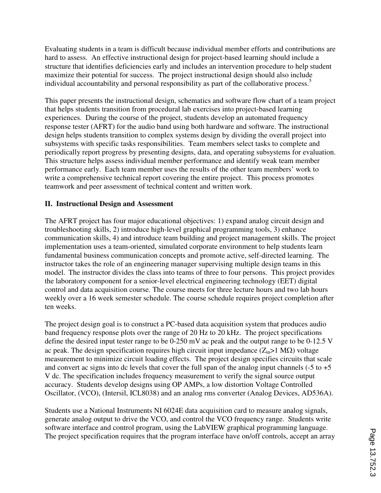Evaluating students in a team is difficult because individual member efforts and contributions are hard to assess. An effective instructional design for project-based learning should include a structure that identifies deficiencies early and includes an intervention procedure to help student maximize their potential for success. The project instructional design should also include individual accountability and personal responsibility as part of the collaborative process.<sup>5</sup>

This paper presents the instructional design, schematics and software flow chart of a team project that helps students transition from procedural lab exercises into project-based learning experiences. During the course of the project, students develop an automated frequency response tester (AFRT) for the audio band using both hardware and software. The instructional design helps students transition to complex systems design by dividing the overall project into subsystems with specific tasks responsibilities. Team members select tasks to complete and periodically report progress by presenting designs, data, and operating subsystems for evaluation. This structure helps assess individual member performance and identify weak team member performance early. Each team member uses the results of the other team members' work to write a comprehensive technical report covering the entire project. This process promotes teamwork and peer assessment of technical content and written work.

#### **II. Instructional Design and Assessment**

The AFRT project has four major educational objectives: 1) expand analog circuit design and troubleshooting skills, 2) introduce high-level graphical programming tools, 3) enhance communication skills, 4) and introduce team building and project management skills. The project implementation uses a team-oriented, simulated corporate environment to help students learn fundamental business communication concepts and promote active, self-directed learning. The instructor takes the role of an engineering manager supervising multiple design teams in this model. The instructor divides the class into teams of three to four persons. This project provides the laboratory component for a senior-level electrical engineering technology (EET) digital control and data acquisition course. The course meets for three lecture hours and two lab hours weekly over a 16 week semester schedule. The course schedule requires project completion after ten weeks.

The project design goal is to construct a PC-based data acquisition system that produces audio band frequency response plots over the range of 20 Hz to 20 kHz. The project specifications define the desired input tester range to be 0-250 mV ac peak and the output range to be 0-12.5 V ac peak. The design specification requires high circuit input impedance  $(Z_{in}>1 M\Omega)$  voltage measurement to minimize circuit loading effects. The project design specifies circuits that scale and convert ac signs into dc levels that cover the full span of the analog input channels  $(-5 \text{ to } +5)$ V dc. The specification includes frequency measurement to verify the signal source output accuracy. Students develop designs using OP AMPs, a low distortion Voltage Controlled Oscillator, (VCO), (Intersil, ICL8038) and an analog rms converter (Analog Devices, AD536A).

Students use a National Instruments NI 6024E data acquisition card to measure analog signals, generate analog output to drive the VCO, and control the VCO frequency range. Students write software interface and control program, using the LabVIEW graphical programming language. The project specification requires that the program interface have on/off controls, accept an array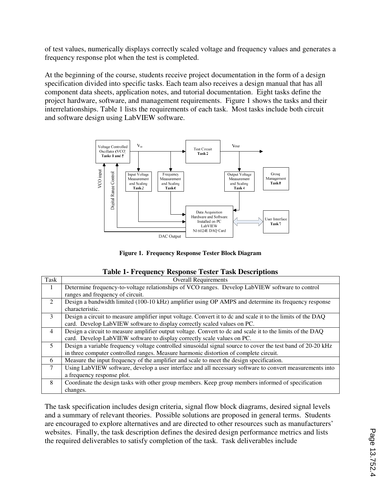of test values, numerically displays correctly scaled voltage and frequency values and generates a frequency response plot when the test is completed.

At the beginning of the course, students receive project documentation in the form of a design specification divided into specific tasks. Each team also receives a design manual that has all component data sheets, application notes, and tutorial documentation. Eight tasks define the project hardware, software, and management requirements. Figure 1 shows the tasks and their interrelationships. Table 1 lists the requirements of each task. Most tasks include both circuit and software design using LabVIEW software.



**Figure 1. Frequency Response Tester Block Diagram** 

| Task           | <b>Overall Requirements</b>                                                                                 |
|----------------|-------------------------------------------------------------------------------------------------------------|
| 1              | Determine frequency-to-voltage relationships of VCO ranges. Develop LabVIEW software to control             |
|                | ranges and frequency of circuit.                                                                            |
| $\mathcal{L}$  | Design a bandwidth limited (100-10 kHz) amplifier using OP AMPS and determine its frequency response        |
|                | characteristic.                                                                                             |
| $\mathcal{E}$  | Design a circuit to measure amplifier input voltage. Convert it to dc and scale it to the limits of the DAQ |
|                | card. Develop LabVIEW software to display correctly scaled values on PC.                                    |
| $\overline{4}$ | Design a circuit to measure amplifier output voltage. Convert to dc and scale it to the limits of the DAQ   |
|                | card. Develop LabVIEW software to display correctly scale values on PC.                                     |
| 5              | Design a variable frequency voltage controlled sinusoidal signal source to cover the test band of 20-20 kHz |
|                | in three computer controlled ranges. Measure harmonic distortion of complete circuit.                       |
| 6              | Measure the input frequency of the amplifier and scale to meet the design specification.                    |
| $\overline{7}$ | Using LabVIEW software, develop a user interface and all necessary software to convert measurements into    |
|                | a frequency response plot.                                                                                  |
| 8              | Coordinate the design tasks with other group members. Keep group members informed of specification          |
|                | changes.                                                                                                    |

The task specification includes design criteria, signal flow block diagrams, desired signal levels and a summary of relevant theories. Possible solutions are proposed in general terms. Students are encouraged to explore alternatives and are directed to other resources such as manufacturers' websites. Finally, the task description defines the desired design performance metrics and lists the required deliverables to satisfy completion of the task. Task deliverables include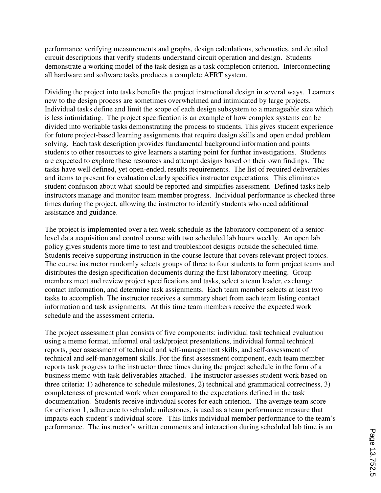performance verifying measurements and graphs, design calculations, schematics, and detailed circuit descriptions that verify students understand circuit operation and design. Students demonstrate a working model of the task design as a task completion criterion. Interconnecting all hardware and software tasks produces a complete AFRT system.

Dividing the project into tasks benefits the project instructional design in several ways. Learners new to the design process are sometimes overwhelmed and intimidated by large projects. Individual tasks define and limit the scope of each design subsystem to a manageable size which is less intimidating. The project specification is an example of how complex systems can be divided into workable tasks demonstrating the process to students. This gives student experience for future project-based learning assignments that require design skills and open ended problem solving. Each task description provides fundamental background information and points students to other resources to give learners a starting point for further investigations. Students are expected to explore these resources and attempt designs based on their own findings. The tasks have well defined, yet open-ended, results requirements. The list of required deliverables and items to present for evaluation clearly specifies instructor expectations. This eliminates student confusion about what should be reported and simplifies assessment. Defined tasks help instructors manage and monitor team member progress. Individual performance is checked three times during the project, allowing the instructor to identify students who need additional assistance and guidance.

The project is implemented over a ten week schedule as the laboratory component of a seniorlevel data acquisition and control course with two scheduled lab hours weekly. An open lab policy gives students more time to test and troubleshoot designs outside the scheduled time. Students receive supporting instruction in the course lecture that covers relevant project topics. The course instructor randomly selects groups of three to four students to form project teams and distributes the design specification documents during the first laboratory meeting. Group members meet and review project specifications and tasks, select a team leader, exchange contact information, and determine task assignments. Each team member selects at least two tasks to accomplish. The instructor receives a summary sheet from each team listing contact information and task assignments. At this time team members receive the expected work schedule and the assessment criteria.

The project assessment plan consists of five components: individual task technical evaluation using a memo format, informal oral task/project presentations, individual formal technical reports, peer assessment of technical and self-management skills, and self-assessment of technical and self-management skills. For the first assessment component, each team member reports task progress to the instructor three times during the project schedule in the form of a business memo with task deliverables attached. The instructor assesses student work based on three criteria: 1) adherence to schedule milestones, 2) technical and grammatical correctness, 3) completeness of presented work when compared to the expectations defined in the task documentation. Students receive individual scores for each criterion. The average team score for criterion 1, adherence to schedule milestones, is used as a team performance measure that impacts each student's individual score. This links individual member performance to the team's performance. The instructor's written comments and interaction during scheduled lab time is an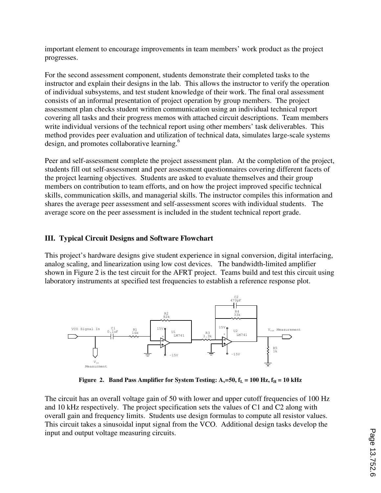important element to encourage improvements in team members' work product as the project progresses.

For the second assessment component, students demonstrate their completed tasks to the instructor and explain their designs in the lab. This allows the instructor to verify the operation of individual subsystems, and test student knowledge of their work. The final oral assessment consists of an informal presentation of project operation by group members. The project assessment plan checks student written communication using an individual technical report covering all tasks and their progress memos with attached circuit descriptions. Team members write individual versions of the technical report using other members' task deliverables. This method provides peer evaluation and utilization of technical data, simulates large-scale systems design, and promotes collaborative learning.<sup>6</sup>

Peer and self-assessment complete the project assessment plan. At the completion of the project, students fill out self-assessment and peer assessment questionnaires covering different facets of the project learning objectives. Students are asked to evaluate themselves and their group members on contribution to team efforts, and on how the project improved specific technical skills, communication skills, and managerial skills. The instructor compiles this information and shares the average peer assessment and self-assessment scores with individual students. The average score on the peer assessment is included in the student technical report grade.

#### **III. Typical Circuit Designs and Software Flowchart**

This project's hardware designs give student experience in signal conversion, digital interfacing, analog scaling, and linearization using low cost devices. The bandwidth-limited amplifier shown in Figure 2 is the test circuit for the AFRT project. Teams build and test this circuit using laboratory instruments at specified test frequencies to establish a reference response plot.



**Figure 2. Band Pass Amplifier for System Testing:**  $A_v = 50$ **,**  $f_L = 100$  **Hz,**  $f_H = 10$  **kHz** 

The circuit has an overall voltage gain of 50 with lower and upper cutoff frequencies of 100 Hz and 10 kHz respectively. The project specification sets the values of C1 and C2 along with overall gain and frequency limits. Students use design formulas to compute all resistor values. This circuit takes a sinusoidal input signal from the VCO. Additional design tasks develop the input and output voltage measuring circuits.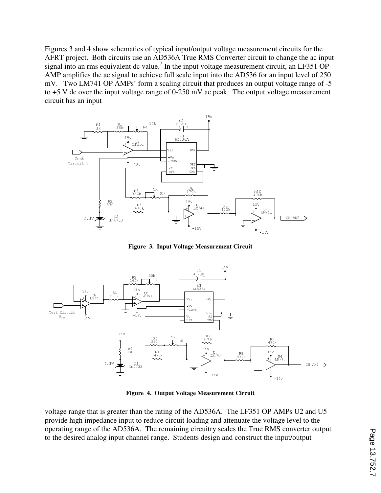Figures 3 and 4 show schematics of typical input/output voltage measurement circuits for the AFRT project. Both circuits use an AD536A True RMS Converter circuit to change the ac input signal into an rms equivalent dc value.<sup>7</sup> In the input voltage measurement circuit, an LF351 OP AMP amplifies the ac signal to achieve full scale input into the AD536 for an input level of 250 mV. Two LM741 OP AMPs' form a scaling circuit that produces an output voltage range of -5 to +5 V dc over the input voltage range of 0-250 mV ac peak. The output voltage measurement circuit has an input



**Figure 3. Input Voltage Measurement Circuit** 



**Figure 4. Output Voltage Measurement Circuit** 

voltage range that is greater than the rating of the AD536A. The LF351 OP AMPs U2 and U5 provide high impedance input to reduce circuit loading and attenuate the voltage level to the operating range of the AD536A. The remaining circuitry scales the True RMS converter output to the desired analog input channel range. Students design and construct the input/output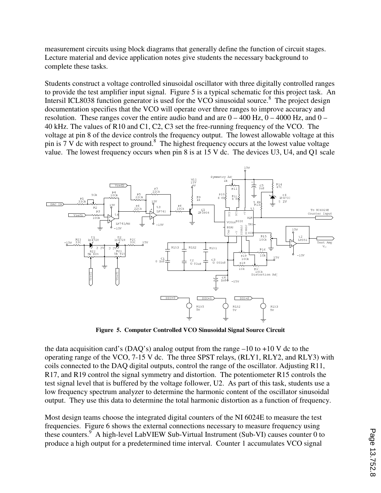measurement circuits using block diagrams that generally define the function of circuit stages. Lecture material and device application notes give students the necessary background to complete these tasks.

Students construct a voltage controlled sinusoidal oscillator with three digitally controlled ranges to provide the test amplifier input signal. Figure 5 is a typical schematic for this project task. An Intersil ICL8038 function generator is used for the VCO sinusoidal source.<sup>8</sup> The project design documentation specifies that the VCO will operate over three ranges to improve accuracy and resolution. These ranges cover the entire audio band and are  $0 - 400$  Hz,  $0 - 4000$  Hz, and  $0 - 4000$ 40 kHz. The values of R10 and C1, C2, C3 set the free-running frequency of the VCO. The voltage at pin 8 of the device controls the frequency output. The lowest allowable voltage at this pin is  $7 \text{ V}$  dc with respect to ground.<sup>8</sup> The highest frequency occurs at the lowest value voltage value. The lowest frequency occurs when pin 8 is at 15 V dc. The devices U3, U4, and Q1 scale



**Figure 5. Computer Controlled VCO Sinusoidal Signal Source Circuit** 

the data acquisition card's (DAQ's) analog output from the range  $-10$  to  $+10$  V dc to the operating range of the VCO, 7-15 V dc. The three SPST relays, (RLY1, RLY2, and RLY3) with coils connected to the DAQ digital outputs, control the range of the oscillator. Adjusting R11, R17, and R19 control the signal symmetry and distortion. The potentiometer R15 controls the test signal level that is buffered by the voltage follower, U2. As part of this task, students use a low frequency spectrum analyzer to determine the harmonic content of the oscillator sinusoidal output. They use this data to determine the total harmonic distortion as a function of frequency.

Most design teams choose the integrated digital counters of the NI 6024E to measure the test frequencies. Figure 6 shows the external connections necessary to measure frequency using these counters.<sup>9</sup> A high-level LabVIEW Sub-Virtual Instrument (Sub-VI) causes counter 0 to produce a high output for a predetermined time interval. Counter 1 accumulates VCO signal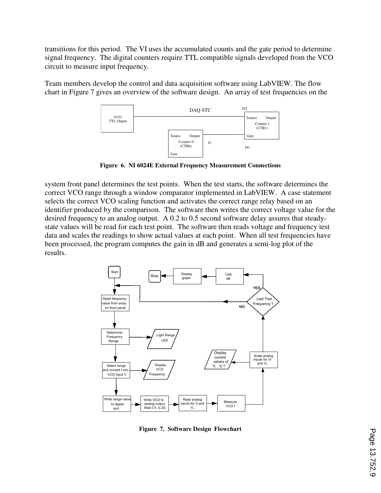transitions for this period. The VI uses the accumulated counts and the gate period to determine signal frequency. The digital counters require TTL compatible signals developed from the VCO circuit to measure input frequency.

Team members develop the control and data acquisition software using LabVIEW. The flow chart in Figure 7 gives an overview of the software design. An array of test frequencies on the



**Figure 6. NI 6024E External Frequency Measurement Connections** 

system front panel determines the test points. When the test starts, the software determines the correct VCO range through a window comparator implemented in LabVIEW. A case statement selects the correct VCO scaling function and activates the correct range relay based on an identifier produced by the comparison. The software then writes the correct voltage value for the desired frequency to an analog output. A 0.2 to 0.5 second software delay assures that steadystate values will be read for each test point. The software then reads voltage and frequency test data and scales the readings to show actual values at each point. When all test frequencies have been processed, the program computes the gain in dB and generates a semi-log plot of the results.



**Figure 7. Software Design Flowchart**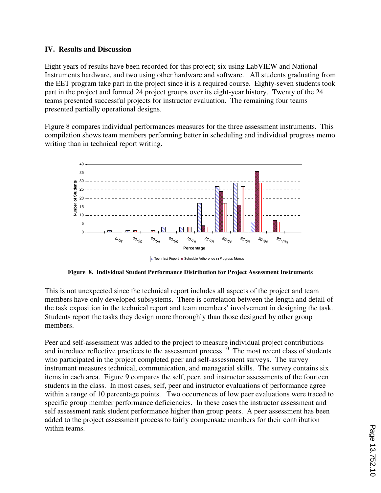#### **IV. Results and Discussion**

Eight years of results have been recorded for this project; six using LabVIEW and National Instruments hardware, and two using other hardware and software. All students graduating from the EET program take part in the project since it is a required course. Eighty-seven students took part in the project and formed 24 project groups over its eight-year history. Twenty of the 24 teams presented successful projects for instructor evaluation. The remaining four teams presented partially operational designs.

Figure 8 compares individual performances measures for the three assessment instruments. This compilation shows team members performing better in scheduling and individual progress memo writing than in technical report writing.



**Figure 8. Individual Student Performance Distribution for Project Assessment Instruments** 

This is not unexpected since the technical report includes all aspects of the project and team members have only developed subsystems. There is correlation between the length and detail of the task exposition in the technical report and team members' involvement in designing the task. Students report the tasks they design more thoroughly than those designed by other group members.

Peer and self-assessment was added to the project to measure individual project contributions and introduce reflective practices to the assessment process.<sup>10</sup> The most recent class of students who participated in the project completed peer and self-assessment surveys. The survey instrument measures technical, communication, and managerial skills. The survey contains six items in each area. Figure 9 compares the self, peer, and instructor assessments of the fourteen students in the class. In most cases, self, peer and instructor evaluations of performance agree within a range of 10 percentage points. Two occurrences of low peer evaluations were traced to specific group member performance deficiencies. In these cases the instructor assessment and self assessment rank student performance higher than group peers. A peer assessment has been added to the project assessment process to fairly compensate members for their contribution within teams.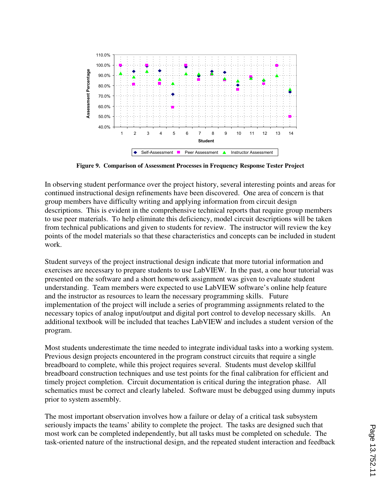

**Figure 9. Comparison of Assessment Processes in Frequency Response Tester Project** 

In observing student performance over the project history, several interesting points and areas for continued instructional design refinements have been discovered. One area of concern is that group members have difficulty writing and applying information from circuit design descriptions. This is evident in the comprehensive technical reports that require group members to use peer materials. To help eliminate this deficiency, model circuit descriptions will be taken from technical publications and given to students for review. The instructor will review the key points of the model materials so that these characteristics and concepts can be included in student work.

Student surveys of the project instructional design indicate that more tutorial information and exercises are necessary to prepare students to use LabVIEW. In the past, a one hour tutorial was presented on the software and a short homework assignment was given to evaluate student understanding. Team members were expected to use LabVIEW software's online help feature and the instructor as resources to learn the necessary programming skills. Future implementation of the project will include a series of programming assignments related to the necessary topics of analog input/output and digital port control to develop necessary skills. An additional textbook will be included that teaches LabVIEW and includes a student version of the program.

Most students underestimate the time needed to integrate individual tasks into a working system. Previous design projects encountered in the program construct circuits that require a single breadboard to complete, while this project requires several. Students must develop skillful breadboard construction techniques and use test points for the final calibration for efficient and timely project completion. Circuit documentation is critical during the integration phase. All schematics must be correct and clearly labeled. Software must be debugged using dummy inputs prior to system assembly.

The most important observation involves how a failure or delay of a critical task subsystem seriously impacts the teams' ability to complete the project. The tasks are designed such that most work can be completed independently, but all tasks must be completed on schedule. The task-oriented nature of the instructional design, and the repeated student interaction and feedback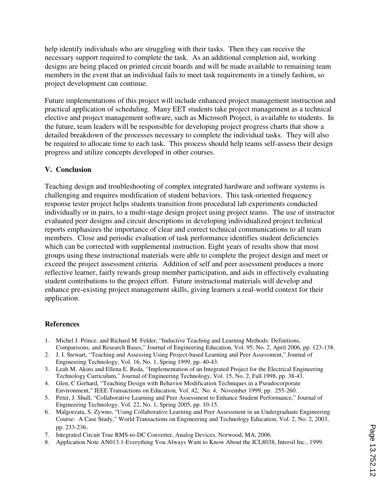help identify individuals who are struggling with their tasks. Then they can receive the necessary support required to complete the task. As an additional completion aid, working designs are being placed on printed circuit boards and will be made available to remaining team members in the event that an individual fails to meet task requirements in a timely fashion, so project development can continue.

Future implementations of this project will include enhanced project management instruction and practical application of scheduling. Many EET students take project management as a technical elective and project management software, such as Microsoft Project, is available to students. In the future, team leaders will be responsible for developing project progress charts that show a detailed breakdown of the processes necessary to complete the individual tasks. They will also be required to allocate time to each task. This process should help teams self-assess their design progress and utilize concepts developed in other courses.

## **V. Conclusion**

Teaching design and troubleshooting of complex integrated hardware and software systems is challenging and requires modification of student behaviors. This task-oriented frequency response tester project helps students transition from procedural lab experiments conducted individually or in pairs, to a multi-stage design project using project teams. The use of instructor evaluated peer designs and circuit descriptions in developing individualized project technical reports emphasizes the importance of clear and correct technical communications to all team members. Close and periodic evaluation of task performance identifies student deficiencies which can be corrected with supplemental instruction. Eight years of results show that most groups using these instructional materials were able to complete the project design and meet or exceed the project assessment criteria. Addition of self and peer assessment produces a more reflective learner, fairly rewards group member participation, and aids in effectively evaluating student contributions to the project effort. Future instructional materials will develop and enhance pre-existing project management skills, giving learners a real-world context for their application.

#### **References**

- 1. Michel J. Prince, and Richard M. Felder, "Inductive Teaching and Learning Methods: Definitions, Comparisons, and Research Bases," Journal of Engineering Education, Vol. 95, No. 2, April 2006, pp. 123-138.
- 2. J. I. Stewart, "Teaching and Assessing Using Project-based Learning and Peer Assessment," Journal of Engineering Technology, Vol. 16, No. 1, Spring 1999, pp. 40-43.
- 3. Leah M. Akins and Ellena E. Reda, "Implementation of an Integrated Project for the Electrical Engineering Technology Curriculum," Journal of Engineering Technology, Vol. 15, No. 2, Fall 1998, pp. 38-43.
- 4. Glen, C Gerhard, "Teaching Design with Behavior Modification Techniques in a Pseudocorporate Environment," IEEE Transactions on Education*,* Vol. 42, No. 4, November 1999, pp. 255-260.
- 5. Peter, J. Shull, "Collaborative Learning and Peer Assessment to Enhance Student Performance," Journal of Engineering Technology, Vol. 22, No. 1, Spring 2005, pp. 10-15.
- 6. Malgorzata, S. Zywno, "Using Collaborative Learning and Peer Assessment in an Undergraduate Engineering Course: A Case Study," World Transactions on Engineering and Technology Education, Vol. 2, No. 2, 2003, pp. 233-236.
- 7. Integrated Circuit True RMS-to-DC Converter, Analog Devices, Norwood, MA, 2006.
- 8. Application Note AN013.1-Everything You Always Want to Know About the ICL8038, Intersil Inc., 1999.